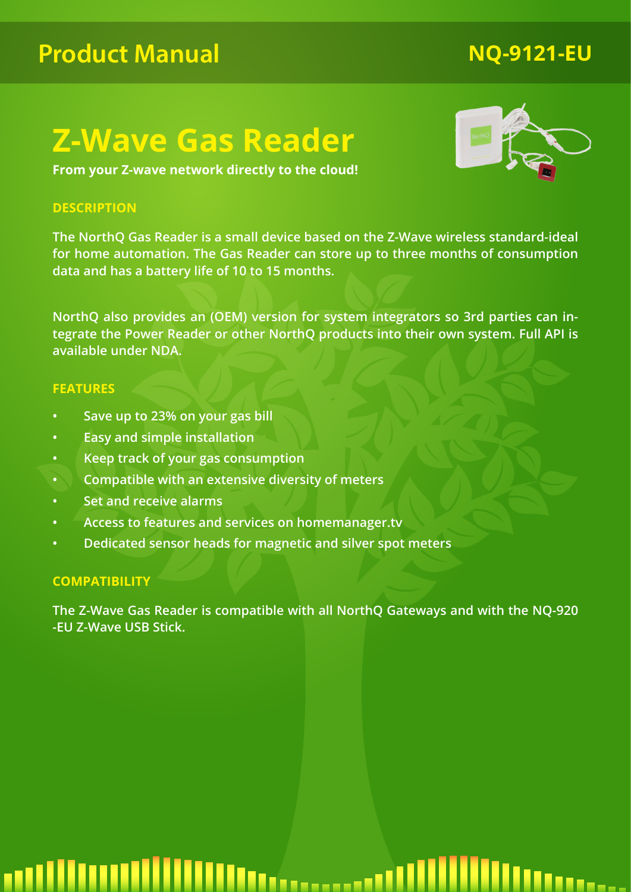## **Product Manual**

## **Z-Wave Gas Reader**

**From your Z-wave network directly to the cloud!**

## **DESCRIPTION**

**The NorthQ Gas Reader is a small device based on the Z-Wave wireless standard-ideal for home automation. The Gas Reader can store up to three months of consumption data and has a battery life of 10 to 15 months.**

**NorthQ also provides an (OEM) version for system integrators so 3rd parties can integrate the Power Reader or other NorthQ products into their own system. Full API is available under NDA.**

## **FEATURES**

- **• Save up to 23% on your gas bill**
- **• Easy and simple installation**
- **• Keep track of your gas consumption**
- **• Compatible with an extensive diversity of meters**
- **• Set and receive alarms**
- **• Access to features and services on homemanager.tv**
- **• Dedicated sensor heads for magnetic and silver spot meters**

## **COMPATIBILITY**

**The Z-Wave Gas Reader is compatible with all NorthQ Gateways and with the NQ-920 -EU Z-Wave USB Stick.**

## **Ittercord III...**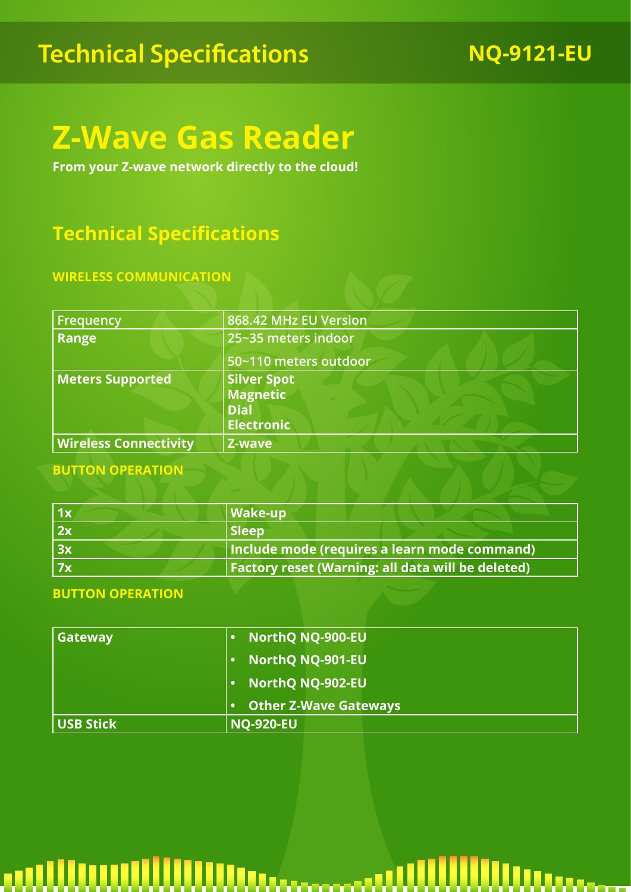## **Technical Specifications** NQ-9121-EU

## **Z-Wave Gas Reader**

**From your Z-wave network directly to the cloud!**

## **Technical Specifications**

## **WIRELESS COMMUNICATION**

| <b>Frequency</b>             | 868.42 MHz EU Version                                                     |
|------------------------------|---------------------------------------------------------------------------|
| <b>Range</b>                 | 25~35 meters indoor                                                       |
|                              | 50~110 meters outdoor                                                     |
| <b>Meters Supported</b>      | <b>Silver Spot</b><br><b>Magnetic</b><br><b>Dial</b><br><b>Electronic</b> |
| <b>Wireless Connectivity</b> | Z-wave                                                                    |

## **BUTTON OPERATION**

| 1x | $\vert$ Wake-up                                          |
|----|----------------------------------------------------------|
| 2x | <b>Sleep</b>                                             |
| 3x | Include mode (requires a learn mode command)             |
| 7x | <b>Factory reset (Warning: all data will be deleted)</b> |

## **BUTTON OPERATION**

| Gateway          | <b>NorthQ NQ-900-EU</b>      |
|------------------|------------------------------|
|                  | <b>NorthQ NQ-901-EU</b>      |
|                  | <b>NorthQ NQ-902-EU</b>      |
|                  | <b>Other Z-Wave Gateways</b> |
| <b>USB Stick</b> | <b>NQ-920-EU</b>             |

## Wittercocci Wilder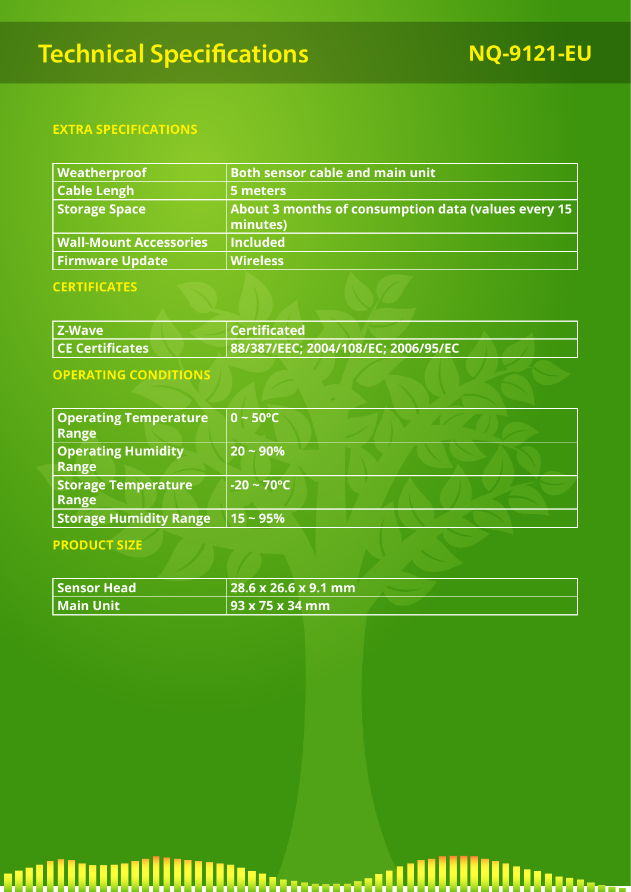## **Technical Specifications NQ-9121-EU**

## **EXTRA SPECIFICATIONS**

| Weatherproof                  | <b>Both sensor cable and main unit</b>                          |
|-------------------------------|-----------------------------------------------------------------|
| <b>Cable Lengh</b>            | 5 meters                                                        |
| Storage Space                 | About 3 months of consumption data (values every 15<br>minutes) |
| <b>Wall-Mount Accessories</b> | <b>Included</b>                                                 |
| <b>Firmware Update</b>        | <b>Wireless</b>                                                 |

## **CERTIFICATES**

| Z-Wave                          | $\blacksquare$ Certificated         |  |
|---------------------------------|-------------------------------------|--|
| $\sf  $ CE Certificates $\sf  $ | 88/387/EEC; 2004/108/EC; 2006/95/EC |  |

## **OPERATING CONDITIONS**

| <b>Operating Temperature</b><br>Range | $0 \sim 50^{\circ}$ C   |  |
|---------------------------------------|-------------------------|--|
| <b>Operating Humidity</b><br>Range    | $20 - 90\%$             |  |
| <b>Storage Temperature</b><br>Range   | $-20 \sim 70^{\circ}$ C |  |
| <b>Storage Humidity Range</b>         | $15 - 95%$              |  |

## **PRODUCT SIZE**

| Sensor Head | $\sqrt{28.6 \times 26.6 \times 9.1 \text{ mm}}$ |  |
|-------------|-------------------------------------------------|--|
| Main Unit   | 93 x 75 x 34 mm                                 |  |

### WWw.commu Waannoo  $\blacksquare$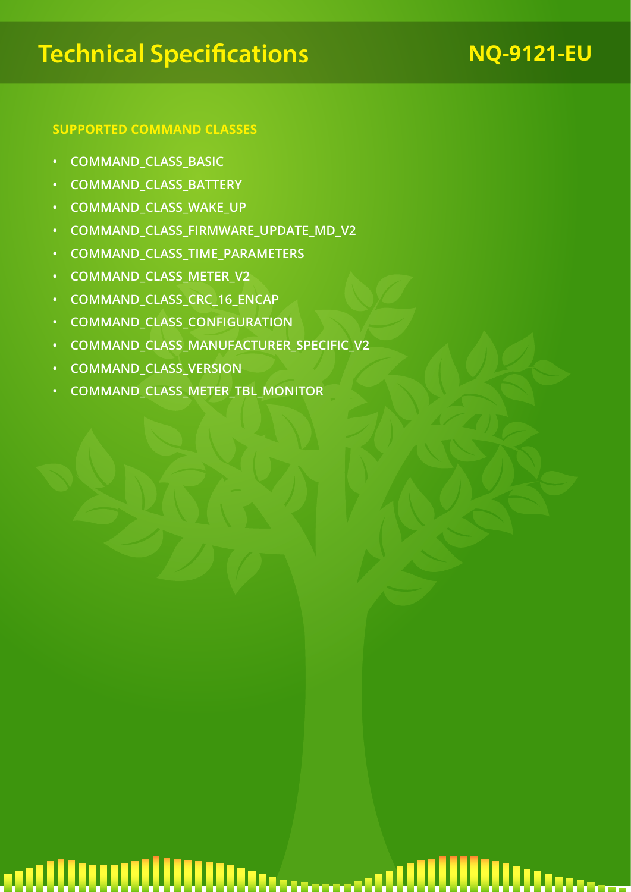## **Technical Specifications** NQ-9121-EU

## **SUPPORTED COMMAND CLASSES**

- **• COMMAND\_CLASS\_BASIC**
- **• COMMAND\_CLASS\_BATTERY**
- **• COMMAND\_CLASS\_WAKE\_UP**
- **• COMMAND\_CLASS\_FIRMWARE\_UPDATE\_MD\_V2**
- **• COMMAND\_CLASS\_TIME\_PARAMETERS**
- **• COMMAND\_CLASS\_METER\_V2**
- **• COMMAND\_CLASS\_CRC\_16\_ENCAP**
- **• COMMAND\_CLASS\_CONFIGURATION**
- **• COMMAND\_CLASS\_MANUFACTURER\_SPECIFIC\_V2**
- **• COMMAND\_CLASS\_VERSION**
- **• COMMAND\_CLASS\_METER\_TBL\_MONITOR**

## an Uluu William assamaan Waannoo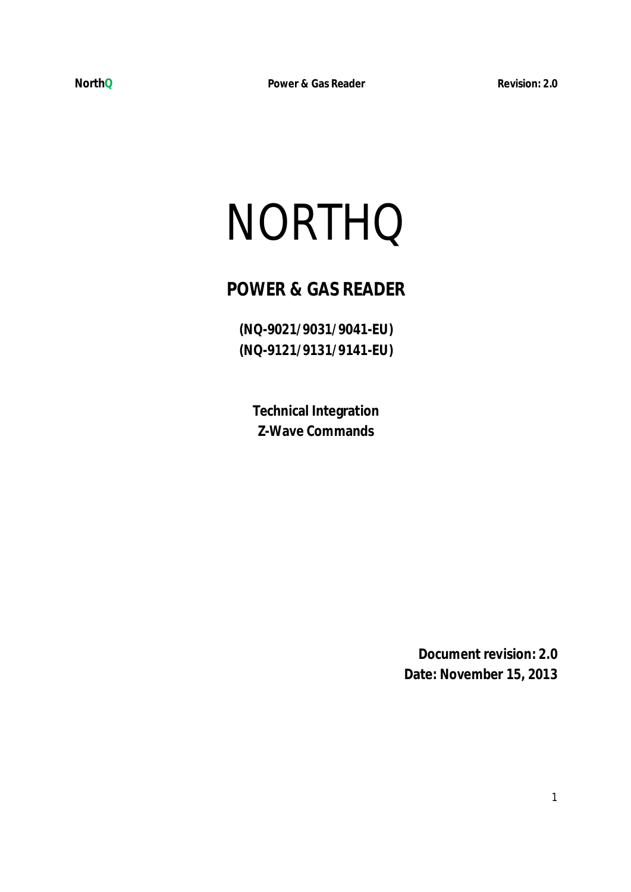# NORTHQ

## **POWER & GAS READER**

**(NQ-9021/9031/9041-EU) (NQ-9121/9131/9141-EU)** 

**Technical Integration Z-Wave Commands** 

> **Document revision: 2.0 Date: November 15, 2013**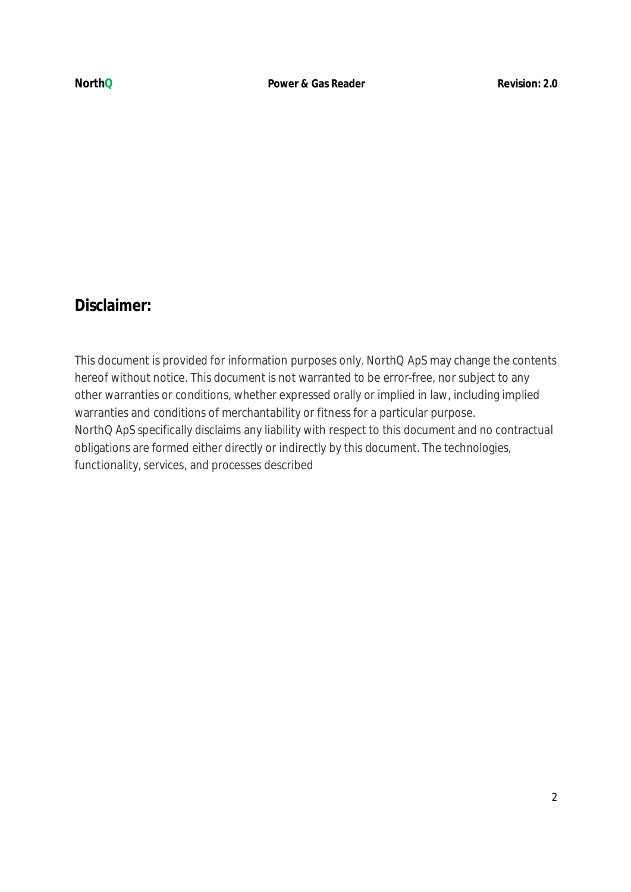## **Disclaimer:**

This document is provided for information purposes only. NorthQ ApS may change the contents hereof without notice. This document is not warranted to be error-free, nor subject to any other warranties or conditions, whether expressed orally or implied in law, including implied warranties and conditions of merchantability or fitness for a particular purpose. NorthQ ApS specifically disclaims any liability with respect to this document and no contractual obligations are formed either directly or indirectly by this document. The technologies, functionality, services, and processes described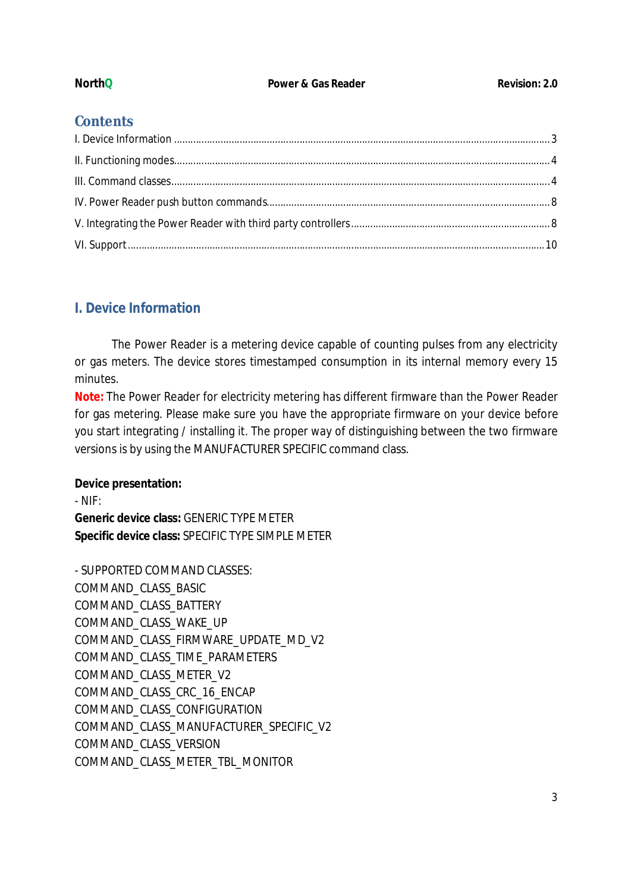## **Contents**

## **I. Device Information**

The Power Reader is a metering device capable of counting pulses from any electricity or gas meters. The device stores timestamped consumption in its internal memory every 15 minutes.

**Note:** The Power Reader for electricity metering has different firmware than the Power Reader for gas metering. Please make sure you have the appropriate firmware on your device before you start integrating / installing it. The proper way of distinguishing between the two firmware versions is by using the MANUFACTURER SPECIFIC command class.

## **Device presentation:**

- NIF:

**Generic device class:** GENERIC TYPE METER **Specific device class:** SPECIFIC TYPE SIMPLE METER

- SUPPORTED COMMAND CLASSES: COMMAND\_CLASS\_BASIC COMMAND\_CLASS\_BATTERY COMMAND\_CLASS\_WAKE\_UP COMMAND\_CLASS\_FIRMWARE\_UPDATE\_MD\_V2 COMMAND\_CLASS\_TIME\_PARAMETERS COMMAND\_CLASS\_METER\_V2 COMMAND\_CLASS\_CRC\_16\_ENCAP COMMAND\_CLASS\_CONFIGURATION COMMAND\_CLASS\_MANUFACTURER\_SPECIFIC\_V2 COMMAND\_CLASS\_VERSION COMMAND\_CLASS\_METER\_TBL\_MONITOR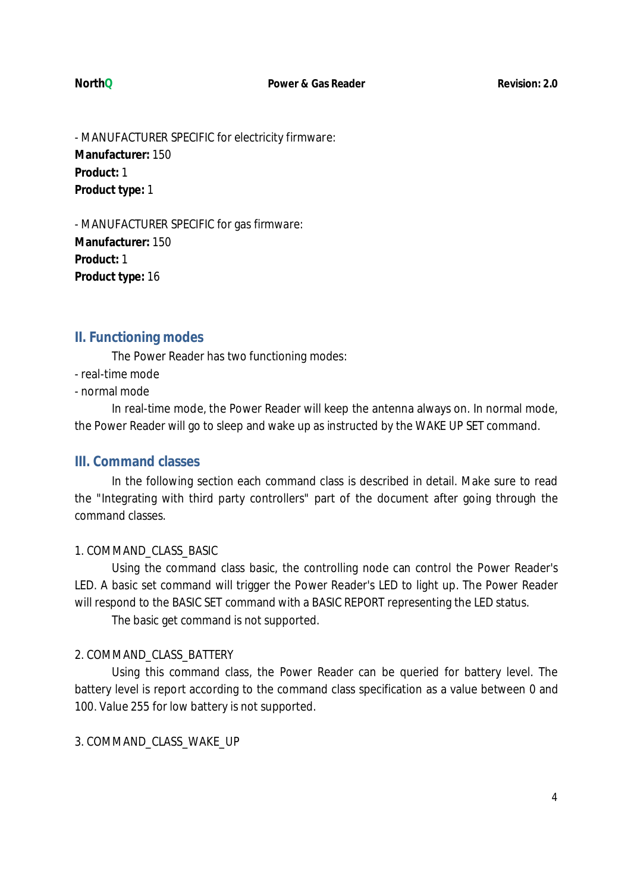- MANUFACTURER SPECIFIC for electricity firmware: **Manufacturer:** 150 **Product:** 1 **Product type:** 1

- MANUFACTURER SPECIFIC for gas firmware: **Manufacturer:** 150 **Product:** 1 **Product type:** 16

## **II. Functioning modes**

The Power Reader has two functioning modes:

- real-time mode
- normal mode

In real-time mode, the Power Reader will keep the antenna always on. In normal mode, the Power Reader will go to sleep and wake up as instructed by the WAKE UP SET command.

## **III. Command classes**

In the following section each command class is described in detail. Make sure to read the "Integrating with third party controllers" part of the document after going through the command classes.

## 1. COMMAND\_CLASS\_BASIC

Using the command class basic, the controlling node can control the Power Reader's LED. A basic set command will trigger the Power Reader's LED to light up. The Power Reader will respond to the BASIC SET command with a BASIC REPORT representing the LED status.

The basic get command is not supported.

## 2. COMMAND\_CLASS\_BATTERY

Using this command class, the Power Reader can be queried for battery level. The battery level is report according to the command class specification as a value between 0 and 100. Value 255 for low battery is not supported.

3. COMMAND\_CLASS\_WAKE\_UP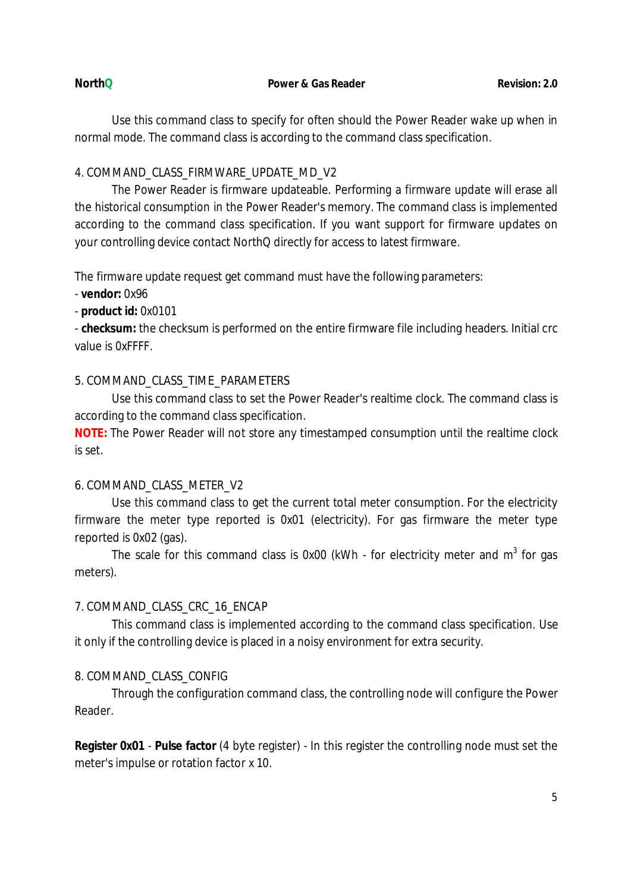### **NorthQ Power & Gas Reader Power 2.0 Revision: 2.0**

Use this command class to specify for often should the Power Reader wake up when in normal mode. The command class is according to the command class specification.

## 4. COMMAND\_CLASS\_FIRMWARE\_UPDATE\_MD\_V2

The Power Reader is firmware updateable. Performing a firmware update will erase all the historical consumption in the Power Reader's memory. The command class is implemented according to the command class specification. If you want support for firmware updates on your controlling device contact NorthQ directly for access to latest firmware.

The firmware update request get command must have the following parameters:

- **vendor:** 0x96

- **product id:** 0x0101

- **checksum:** the checksum is performed on the entire firmware file including headers. Initial crc value is 0xFFFF.

## 5. COMMAND\_CLASS\_TIME\_PARAMETERS

Use this command class to set the Power Reader's realtime clock. The command class is according to the command class specification.

**NOTE:** The Power Reader will not store any timestamped consumption until the realtime clock is set.

## 6. COMMAND\_CLASS\_METER\_V2

Use this command class to get the current total meter consumption. For the electricity firmware the meter type reported is 0x01 (electricity). For gas firmware the meter type reported is 0x02 (gas).

The scale for this command class is 0x00 (kWh - for electricity meter and  $m^3$  for gas meters).

## 7. COMMAND\_CLASS\_CRC\_16\_ENCAP

This command class is implemented according to the command class specification. Use it only if the controlling device is placed in a noisy environment for extra security.

## 8. COMMAND\_CLASS\_CONFIG

Through the configuration command class, the controlling node will configure the Power Reader.

**Register 0x01** - **Pulse factor** (4 byte register) - In this register the controlling node must set the meter's impulse or rotation factor x 10.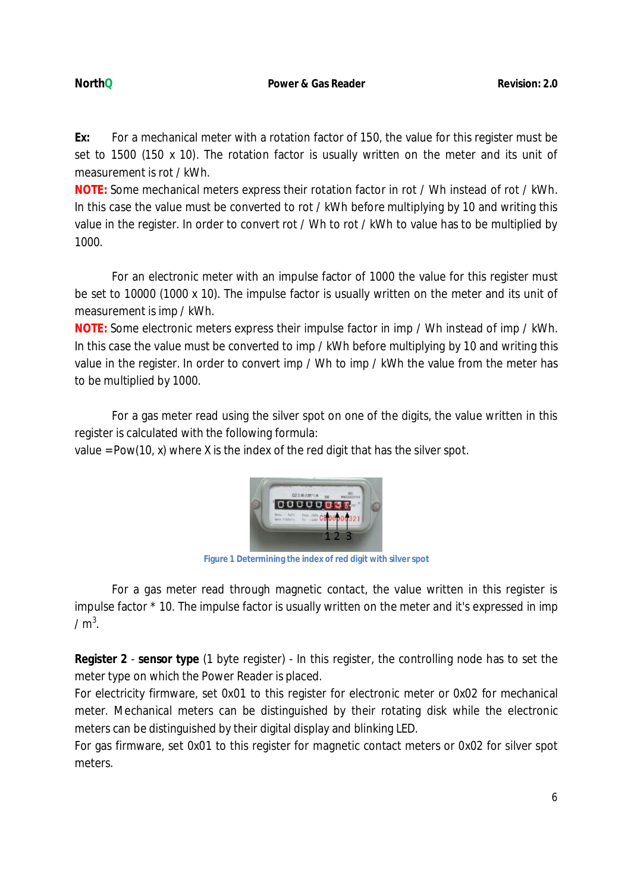**Ex:** For a mechanical meter with a rotation factor of 150, the value for this register must be set to 1500 (150 x 10). The rotation factor is usually written on the meter and its unit of measurement is rot / kWh.

**NOTE:** Some mechanical meters express their rotation factor in rot / Wh instead of rot / kWh. In this case the value must be converted to rot / kWh before multiplying by 10 and writing this value in the register. In order to convert rot / Wh to rot / kWh to value has to be multiplied by 1000.

For an electronic meter with an impulse factor of 1000 the value for this register must be set to 10000 (1000 x 10). The impulse factor is usually written on the meter and its unit of measurement is imp / kWh.

**NOTE:** Some electronic meters express their impulse factor in imp / Wh instead of imp / kWh. In this case the value must be converted to imp / kWh before multiplying by 10 and writing this value in the register. In order to convert imp / Wh to imp / kWh the value from the meter has to be multiplied by 1000.

For a gas meter read using the silver spot on one of the digits, the value written in this register is calculated with the following formula:

value = Pow(10, x) where X is the index of the red digit that has the silver spot.



**Figure 1 Determining the index of red digit with silver spot**

For a gas meter read through magnetic contact, the value written in this register is impulse factor \* 10. The impulse factor is usually written on the meter and it's expressed in imp /  $m^3$ .

**Register 2** - **sensor type** (1 byte register) - In this register, the controlling node has to set the meter type on which the Power Reader is placed.

For electricity firmware, set 0x01 to this register for electronic meter or 0x02 for mechanical meter. Mechanical meters can be distinguished by their rotating disk while the electronic meters can be distinguished by their digital display and blinking LED.

For gas firmware, set 0x01 to this register for magnetic contact meters or 0x02 for silver spot meters.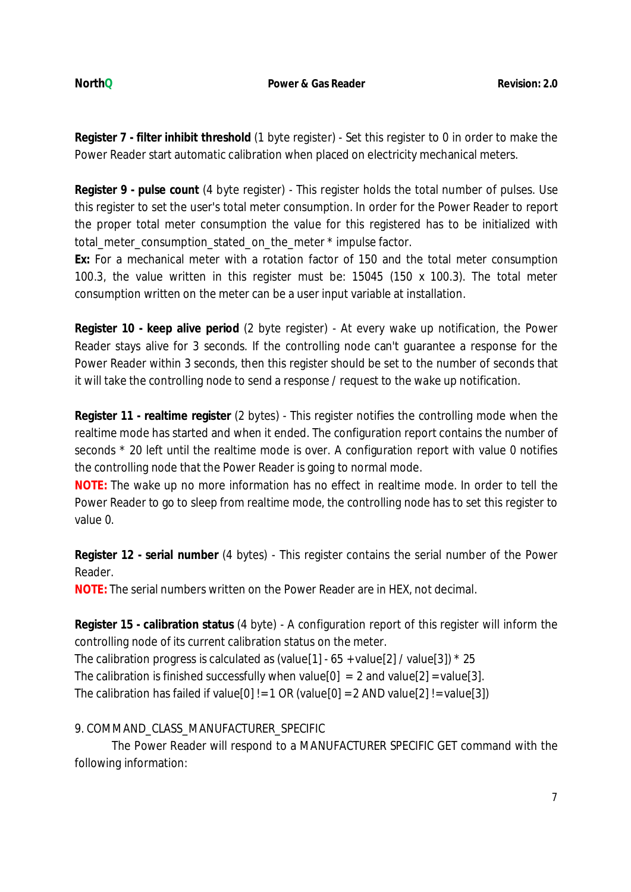**Register 7 - filter inhibit threshold** (1 byte register) - Set this register to 0 in order to make the Power Reader start automatic calibration when placed on electricity mechanical meters.

**Register 9 - pulse count** (4 byte register) - This register holds the total number of pulses. Use this register to set the user's total meter consumption. In order for the Power Reader to report the proper total meter consumption the value for this registered has to be initialized with total meter consumption stated on the meter \* impulse factor.

**Ex:** For a mechanical meter with a rotation factor of 150 and the total meter consumption 100.3, the value written in this register must be: 15045 (150 x 100.3). The total meter consumption written on the meter can be a user input variable at installation.

**Register 10 - keep alive period** (2 byte register) - At every wake up notification, the Power Reader stays alive for 3 seconds. If the controlling node can't guarantee a response for the Power Reader within 3 seconds, then this register should be set to the number of seconds that it will take the controlling node to send a response / request to the wake up notification.

**Register 11 - realtime register** (2 bytes) - This register notifies the controlling mode when the realtime mode has started and when it ended. The configuration report contains the number of seconds \* 20 left until the realtime mode is over. A configuration report with value 0 notifies the controlling node that the Power Reader is going to normal mode.

**NOTE:** The wake up no more information has no effect in realtime mode. In order to tell the Power Reader to go to sleep from realtime mode, the controlling node has to set this register to value 0.

**Register 12 - serial number** (4 bytes) - This register contains the serial number of the Power Reader.

**NOTE:** The serial numbers written on the Power Reader are in HEX, not decimal.

**Register 15 - calibration status** (4 byte) - A configuration report of this register will inform the controlling node of its current calibration status on the meter.

The calibration progress is calculated as (value [1] -  $65 +$  value [2] / value [3])  $*$  25

The calibration is finished successfully when value[0] = 2 and value[2] = value[3].

The calibration has failed if value[0] != 1 OR (value[0] = 2 AND value[2] != value[3])

9. COMMAND\_CLASS\_MANUFACTURER\_SPECIFIC

The Power Reader will respond to a MANUFACTURER SPECIFIC GET command with the following information: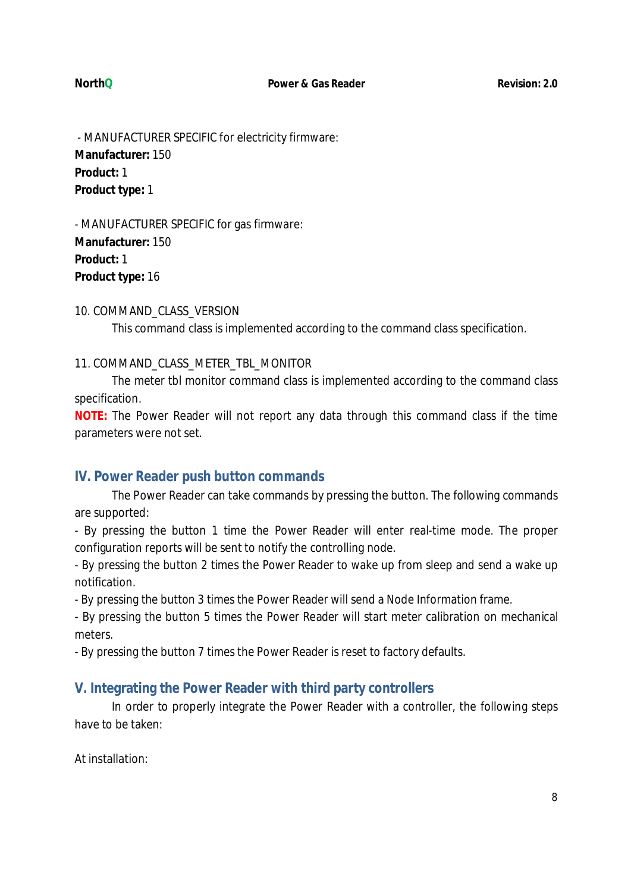- MANUFACTURER SPECIFIC for electricity firmware: **Manufacturer:** 150 **Product:** 1 **Product type:** 1

- MANUFACTURER SPECIFIC for gas firmware: **Manufacturer:** 150 **Product:** 1 **Product type:** 16

## 10. COMMAND\_CLASS\_VERSION

This command class is implemented according to the command class specification.

## 11. COMMAND\_CLASS\_METER\_TBL\_MONITOR

The meter tbl monitor command class is implemented according to the command class specification.

**NOTE:** The Power Reader will not report any data through this command class if the time parameters were not set.

## **IV. Power Reader push button commands**

The Power Reader can take commands by pressing the button. The following commands are supported:

- By pressing the button 1 time the Power Reader will enter real-time mode. The proper configuration reports will be sent to notify the controlling node.

- By pressing the button 2 times the Power Reader to wake up from sleep and send a wake up notification.

- By pressing the button 3 times the Power Reader will send a Node Information frame.

- By pressing the button 5 times the Power Reader will start meter calibration on mechanical meters.

- By pressing the button 7 times the Power Reader is reset to factory defaults.

## **V. Integrating the Power Reader with third party controllers**

In order to properly integrate the Power Reader with a controller, the following steps have to be taken:

At installation: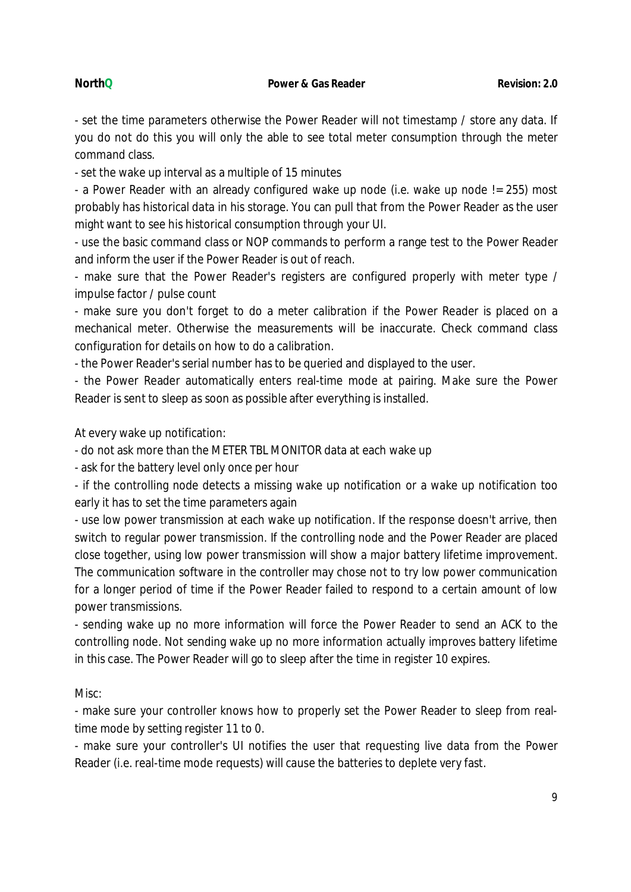- set the time parameters otherwise the Power Reader will not timestamp / store any data. If you do not do this you will only the able to see total meter consumption through the meter command class.

- set the wake up interval as a multiple of 15 minutes

- a Power Reader with an already configured wake up node (i.e. wake up node != 255) most probably has historical data in his storage. You can pull that from the Power Reader as the user might want to see his historical consumption through your UI.

- use the basic command class or NOP commands to perform a range test to the Power Reader and inform the user if the Power Reader is out of reach.

- make sure that the Power Reader's registers are configured properly with meter type / impulse factor / pulse count

- make sure you don't forget to do a meter calibration if the Power Reader is placed on a mechanical meter. Otherwise the measurements will be inaccurate. Check command class configuration for details on how to do a calibration.

- the Power Reader's serial number has to be queried and displayed to the user.

- the Power Reader automatically enters real-time mode at pairing. Make sure the Power Reader is sent to sleep as soon as possible after everything is installed.

At every wake up notification:

- do not ask more than the METER TBL MONITOR data at each wake up

- ask for the battery level only once per hour

- if the controlling node detects a missing wake up notification or a wake up notification too early it has to set the time parameters again

- use low power transmission at each wake up notification. If the response doesn't arrive, then switch to regular power transmission. If the controlling node and the Power Reader are placed close together, using low power transmission will show a major battery lifetime improvement. The communication software in the controller may chose not to try low power communication for a longer period of time if the Power Reader failed to respond to a certain amount of low power transmissions.

- sending wake up no more information will force the Power Reader to send an ACK to the controlling node. Not sending wake up no more information actually improves battery lifetime in this case. The Power Reader will go to sleep after the time in register 10 expires.

Misc:

- make sure your controller knows how to properly set the Power Reader to sleep from realtime mode by setting register 11 to 0.

- make sure your controller's UI notifies the user that requesting live data from the Power Reader (i.e. real-time mode requests) will cause the batteries to deplete very fast.